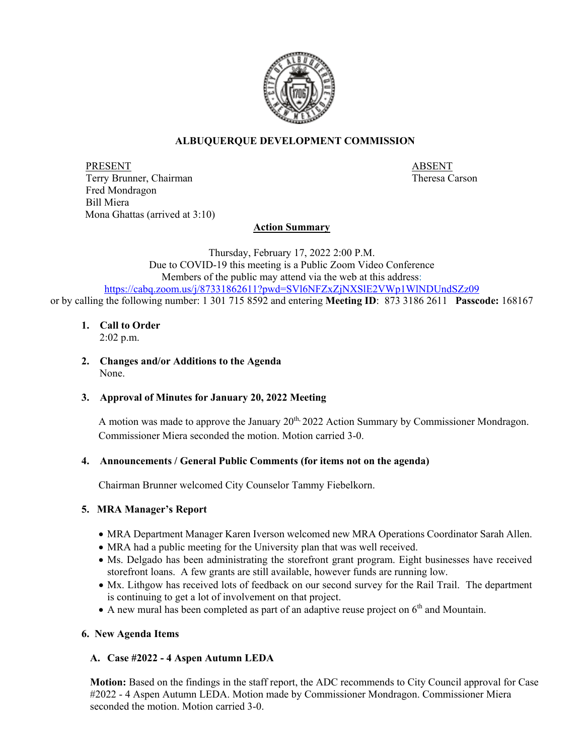

# **ALBUQUERQUE DEVELOPMENT COMMISSION**

PRESENT ABSENT Terry Brunner, Chairman Theresa Carson Theresa Carson Fred Mondragon Bill Miera Mona Ghattas (arrived at 3:10)

## **Action Summary**

Thursday, February 17, 2022 2:00 P.M. Due to COVID-19 this meeting is a Public Zoom Video Conference Members of the public may attend via the web at this address: <https://cabq.zoom.us/j/87331862611?pwd=SVl6NFZxZjNXSlE2VWp1WlNDUndSZz09> or by calling the following number: 1 301 715 8592 and entering **Meeting ID**: 873 3186 2611 **Passcode:** 168167

#### **1. Call to Order** 2:02 p.m.

**2. Changes and/or Additions to the Agenda** None.

### **3. Approval of Minutes for January 20, 2022 Meeting**

A motion was made to approve the January  $20<sup>th</sup>$ ,  $2022$  Action Summary by Commissioner Mondragon. Commissioner Miera seconded the motion. Motion carried 3-0.

### **4. Announcements / General Public Comments (for items not on the agenda)**

Chairman Brunner welcomed City Counselor Tammy Fiebelkorn.

### **5. MRA Manager's Report**

- MRA Department Manager Karen Iverson welcomed new MRA Operations Coordinator Sarah Allen.
- MRA had a public meeting for the University plan that was well received.
- Ms. Delgado has been administrating the storefront grant program. Eight businesses have received storefront loans. A few grants are still available, however funds are running low.
- Mx. Lithgow has received lots of feedback on our second survey for the Rail Trail. The department is continuing to get a lot of involvement on that project.
- A new mural has been completed as part of an adaptive reuse project on  $6<sup>th</sup>$  and Mountain.

### **6. New Agenda Items**

### **A. Case #2022 - 4 Aspen Autumn LEDA**

**Motion:** Based on the findings in the staff report, the ADC recommends to City Council approval for Case #2022 - 4 Aspen Autumn LEDA. Motion made by Commissioner Mondragon. Commissioner Miera seconded the motion. Motion carried 3-0.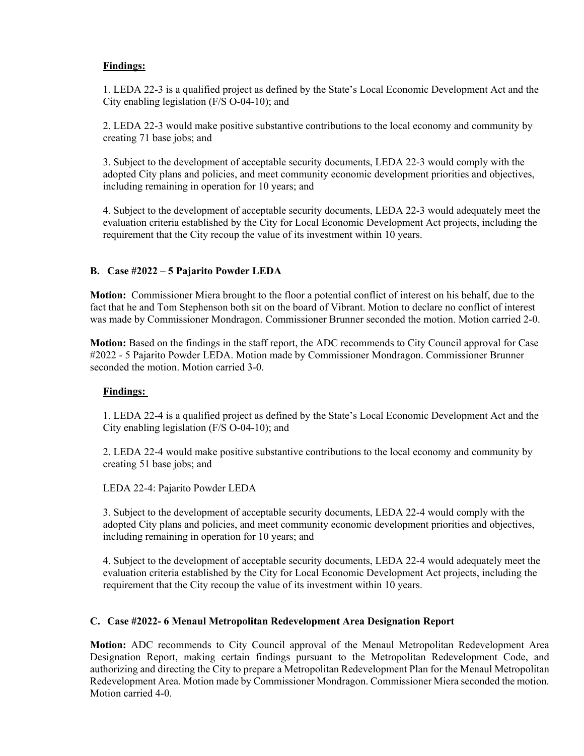# **Findings:**

1. LEDA 22-3 is a qualified project as defined by the State's Local Economic Development Act and the City enabling legislation (F/S O-04-10); and

2. LEDA 22-3 would make positive substantive contributions to the local economy and community by creating 71 base jobs; and

3. Subject to the development of acceptable security documents, LEDA 22-3 would comply with the adopted City plans and policies, and meet community economic development priorities and objectives, including remaining in operation for 10 years; and

4. Subject to the development of acceptable security documents, LEDA 22-3 would adequately meet the evaluation criteria established by the City for Local Economic Development Act projects, including the requirement that the City recoup the value of its investment within 10 years.

## **B. Case #2022 – 5 Pajarito Powder LEDA**

**Motion:** Commissioner Miera brought to the floor a potential conflict of interest on his behalf, due to the fact that he and Tom Stephenson both sit on the board of Vibrant. Motion to declare no conflict of interest was made by Commissioner Mondragon. Commissioner Brunner seconded the motion. Motion carried 2-0.

**Motion:** Based on the findings in the staff report, the ADC recommends to City Council approval for Case #2022 - 5 Pajarito Powder LEDA. Motion made by Commissioner Mondragon. Commissioner Brunner seconded the motion. Motion carried 3-0.

### **Findings:**

1. LEDA 22-4 is a qualified project as defined by the State's Local Economic Development Act and the City enabling legislation (F/S O-04-10); and

2. LEDA 22-4 would make positive substantive contributions to the local economy and community by creating 51 base jobs; and

LEDA 22-4: Pajarito Powder LEDA

3. Subject to the development of acceptable security documents, LEDA 22-4 would comply with the adopted City plans and policies, and meet community economic development priorities and objectives, including remaining in operation for 10 years; and

4. Subject to the development of acceptable security documents, LEDA 22-4 would adequately meet the evaluation criteria established by the City for Local Economic Development Act projects, including the requirement that the City recoup the value of its investment within 10 years.

### **C. Case #2022- 6 Menaul Metropolitan Redevelopment Area Designation Report**

**Motion:** ADC recommends to City Council approval of the Menaul Metropolitan Redevelopment Area Designation Report, making certain findings pursuant to the Metropolitan Redevelopment Code, and authorizing and directing the City to prepare a Metropolitan Redevelopment Plan for the Menaul Metropolitan Redevelopment Area. Motion made by Commissioner Mondragon. Commissioner Miera seconded the motion. Motion carried 4-0.